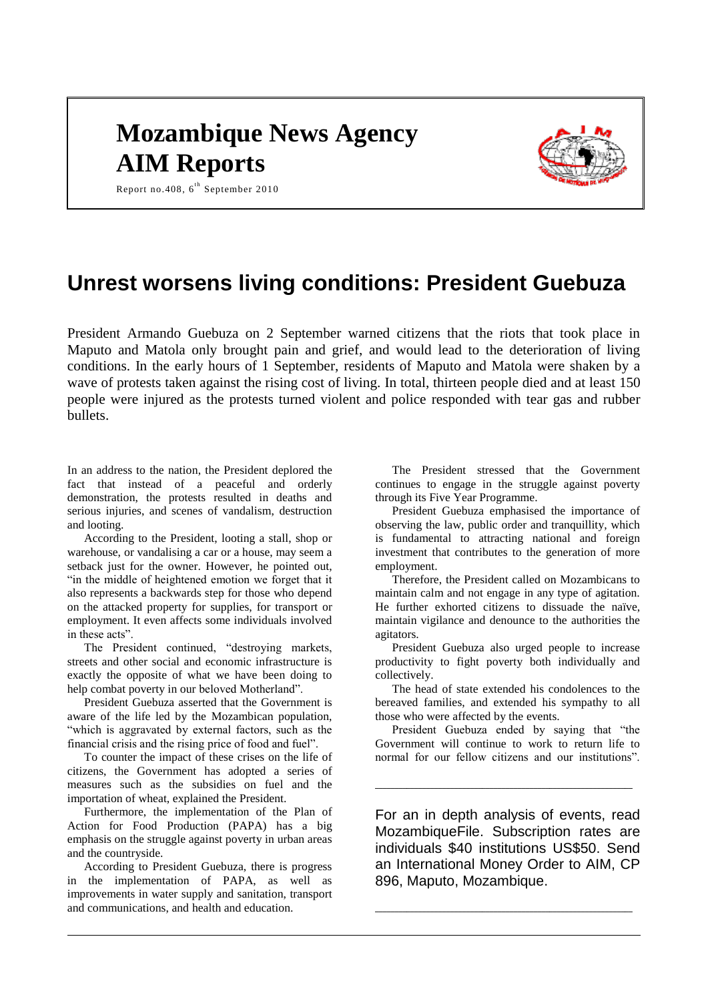# **Mozambique News Agency AIM Reports**



Report no.408,  $6^{th}$  September 2010

# **Unrest worsens living conditions: President Guebuza**

President Armando Guebuza on 2 September warned citizens that the riots that took place in Maputo and Matola only brought pain and grief, and would lead to the deterioration of living conditions. In the early hours of 1 September, residents of Maputo and Matola were shaken by a wave of protests taken against the rising cost of living. In total, thirteen people died and at least 150 people were injured as the protests turned violent and police responded with tear gas and rubber bullets.

In an address to the nation, the President deplored the fact that instead of a peaceful and orderly demonstration, the protests resulted in deaths and serious injuries, and scenes of vandalism, destruction and looting.

According to the President, looting a stall, shop or warehouse, or vandalising a car or a house, may seem a setback just for the owner. However, he pointed out, "in the middle of heightened emotion we forget that it also represents a backwards step for those who depend on the attacked property for supplies, for transport or employment. It even affects some individuals involved in these acts".

The President continued, "destroying markets, streets and other social and economic infrastructure is exactly the opposite of what we have been doing to help combat poverty in our beloved Motherland".

President Guebuza asserted that the Government is aware of the life led by the Mozambican population, "which is aggravated by external factors, such as the financial crisis and the rising price of food and fuel".

To counter the impact of these crises on the life of citizens, the Government has adopted a series of measures such as the subsidies on fuel and the importation of wheat, explained the President.

Furthermore, the implementation of the Plan of Action for Food Production (PAPA) has a big emphasis on the struggle against poverty in urban areas and the countryside.

According to President Guebuza, there is progress in the implementation of PAPA, as well as improvements in water supply and sanitation, transport and communications, and health and education.

The President stressed that the Government continues to engage in the struggle against poverty through its Five Year Programme.

President Guebuza emphasised the importance of observing the law, public order and tranquillity, which is fundamental to attracting national and foreign investment that contributes to the generation of more employment.

Therefore, the President called on Mozambicans to maintain calm and not engage in any type of agitation. He further exhorted citizens to dissuade the naïve, maintain vigilance and denounce to the authorities the agitators.

President Guebuza also urged people to increase productivity to fight poverty both individually and collectively.

The head of state extended his condolences to the bereaved families, and extended his sympathy to all those who were affected by the events.

President Guebuza ended by saying that "the Government will continue to work to return life to normal for our fellow citizens and our institutions".

\_\_\_\_\_\_\_\_\_\_\_\_\_\_\_\_\_\_\_\_\_\_\_\_\_\_\_\_\_\_\_\_\_\_\_\_\_\_\_\_\_\_\_\_\_\_\_\_\_\_\_\_\_\_\_\_\_\_\_\_\_\_\_\_\_

For an in depth analysis of events, read MozambiqueFile. Subscription rates are individuals \$40 institutions US\$50. Send an International Money Order to AIM, CP 896, Maputo, Mozambique.

\_\_\_\_\_\_\_\_\_\_\_\_\_\_\_\_\_\_\_\_\_\_\_\_\_\_\_\_\_\_\_\_\_\_\_\_\_\_\_\_\_\_\_\_\_\_\_\_\_\_\_\_\_\_\_\_\_\_\_\_\_\_\_\_\_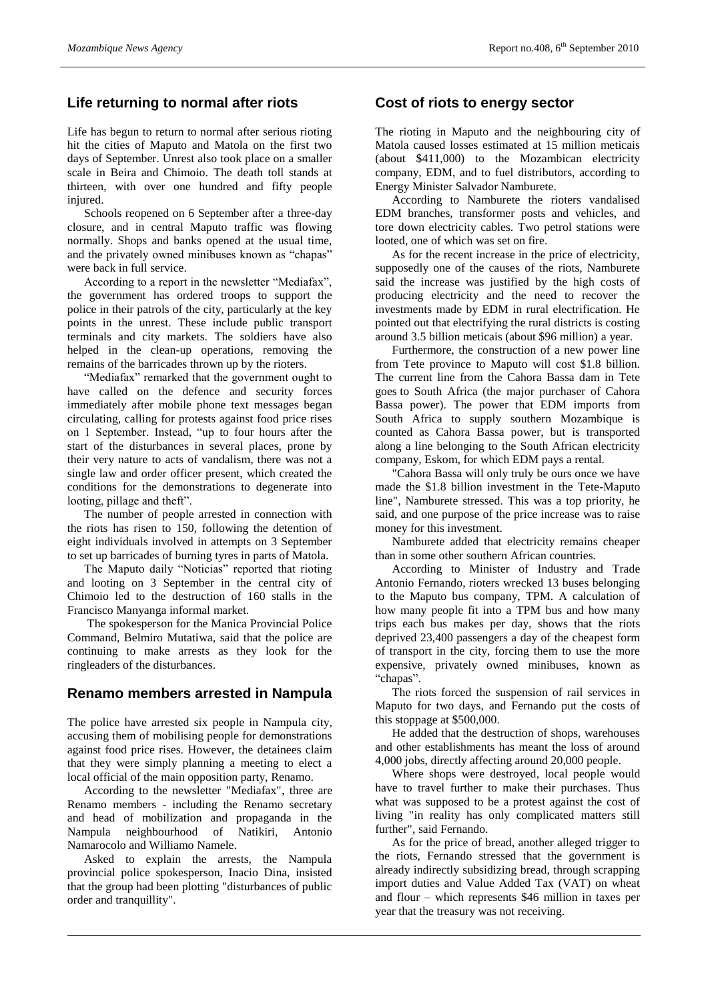# **Life returning to normal after riots**

Life has begun to return to normal after serious rioting hit the cities of Maputo and Matola on the first two days of September. Unrest also took place on a smaller scale in Beira and Chimoio. The death toll stands at thirteen, with over one hundred and fifty people injured.

Schools reopened on 6 September after a three-day closure, and in central Maputo traffic was flowing normally. Shops and banks opened at the usual time, and the privately owned minibuses known as "chapas" were back in full service.

According to a report in the newsletter "Mediafax", the government has ordered troops to support the police in their patrols of the city, particularly at the key points in the unrest. These include public transport terminals and city markets. The soldiers have also helped in the clean-up operations, removing the remains of the barricades thrown up by the rioters.

"Mediafax" remarked that the government ought to have called on the defence and security forces immediately after mobile phone text messages began circulating, calling for protests against food price rises on 1 September. Instead, "up to four hours after the start of the disturbances in several places, prone by their very nature to acts of vandalism, there was not a single law and order officer present, which created the conditions for the demonstrations to degenerate into looting, pillage and theft".

The number of people arrested in connection with the riots has risen to 150, following the detention of eight individuals involved in attempts on 3 September to set up barricades of burning tyres in parts of Matola.

The Maputo daily "Noticias" reported that rioting and looting on 3 September in the central city of Chimoio led to the destruction of 160 stalls in the Francisco Manyanga informal market.

The spokesperson for the Manica Provincial Police Command, Belmiro Mutatiwa, said that the police are continuing to make arrests as they look for the ringleaders of the disturbances.

#### **Renamo members arrested in Nampula**

The police have arrested six people in Nampula city, accusing them of mobilising people for demonstrations against food price rises. However, the detainees claim that they were simply planning a meeting to elect a local official of the main opposition party, Renamo.

According to the newsletter "Mediafax", three are Renamo members - including the Renamo secretary and head of mobilization and propaganda in the Nampula neighbourhood of Natikiri, Antonio Namarocolo and Williamo Namele.

Asked to explain the arrests, the Nampula provincial police spokesperson, Inacio Dina, insisted that the group had been plotting "disturbances of public order and tranquillity".

#### **Cost of riots to energy sector**

The rioting in Maputo and the neighbouring city of Matola caused losses estimated at 15 million meticais (about \$411,000) to the Mozambican electricity company, EDM, and to fuel distributors, according to Energy Minister Salvador Namburete.

According to Namburete the rioters vandalised EDM branches, transformer posts and vehicles, and tore down electricity cables. Two petrol stations were looted, one of which was set on fire.

As for the recent increase in the price of electricity, supposedly one of the causes of the riots, Namburete said the increase was justified by the high costs of producing electricity and the need to recover the investments made by EDM in rural electrification. He pointed out that electrifying the rural districts is costing around 3.5 billion meticais (about \$96 million) a year.

Furthermore, the construction of a new power line from Tete province to Maputo will cost \$1.8 billion. The current line from the Cahora Bassa dam in Tete goes to South Africa (the major purchaser of Cahora Bassa power). The power that EDM imports from South Africa to supply southern Mozambique is counted as Cahora Bassa power, but is transported along a line belonging to the South African electricity company, Eskom, for which EDM pays a rental.

"Cahora Bassa will only truly be ours once we have made the \$1.8 billion investment in the Tete-Maputo line", Namburete stressed. This was a top priority, he said, and one purpose of the price increase was to raise money for this investment.

Namburete added that electricity remains cheaper than in some other southern African countries.

According to Minister of Industry and Trade Antonio Fernando, rioters wrecked 13 buses belonging to the Maputo bus company, TPM. A calculation of how many people fit into a TPM bus and how many trips each bus makes per day, shows that the riots deprived 23,400 passengers a day of the cheapest form of transport in the city, forcing them to use the more expensive, privately owned minibuses, known as "chapas".

The riots forced the suspension of rail services in Maputo for two days, and Fernando put the costs of this stoppage at \$500,000.

He added that the destruction of shops, warehouses and other establishments has meant the loss of around 4,000 jobs, directly affecting around 20,000 people.

Where shops were destroyed, local people would have to travel further to make their purchases. Thus what was supposed to be a protest against the cost of living "in reality has only complicated matters still further", said Fernando.

As for the price of bread, another alleged trigger to the riots, Fernando stressed that the government is already indirectly subsidizing bread, through scrapping import duties and Value Added Tax (VAT) on wheat and flour – which represents \$46 million in taxes per year that the treasury was not receiving.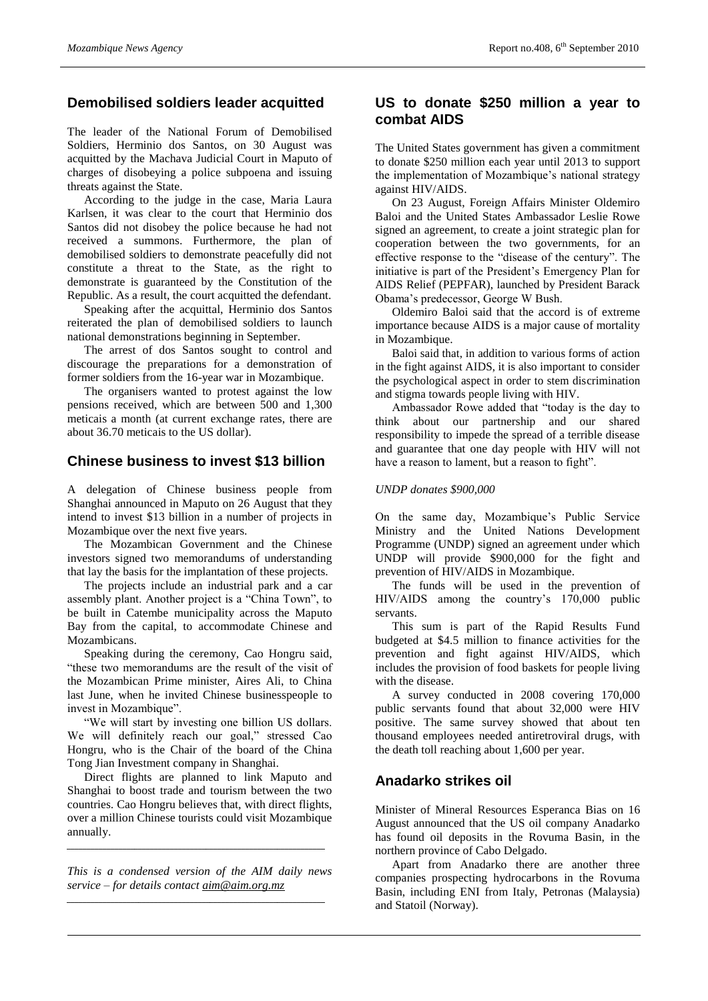# **Demobilised soldiers leader acquitted**

The leader of the National Forum of Demobilised Soldiers, Herminio dos Santos, on 30 August was acquitted by the Machava Judicial Court in Maputo of charges of disobeying a police subpoena and issuing threats against the State.

According to the judge in the case, Maria Laura Karlsen, it was clear to the court that Herminio dos Santos did not disobey the police because he had not received a summons. Furthermore, the plan of demobilised soldiers to demonstrate peacefully did not constitute a threat to the State, as the right to demonstrate is guaranteed by the Constitution of the Republic. As a result, the court acquitted the defendant.

Speaking after the acquittal, Herminio dos Santos reiterated the plan of demobilised soldiers to launch national demonstrations beginning in September.

The arrest of dos Santos sought to control and discourage the preparations for a demonstration of former soldiers from the 16-year war in Mozambique.

The organisers wanted to protest against the low pensions received, which are between 500 and 1,300 meticais a month (at current exchange rates, there are about 36.70 meticais to the US dollar).

#### **Chinese business to invest \$13 billion**

A delegation of Chinese business people from Shanghai announced in Maputo on 26 August that they intend to invest \$13 billion in a number of projects in Mozambique over the next five years.

The Mozambican Government and the Chinese investors signed two memorandums of understanding that lay the basis for the implantation of these projects.

The projects include an industrial park and a car assembly plant. Another project is a "China Town", to be built in Catembe municipality across the Maputo Bay from the capital, to accommodate Chinese and Mozambicans.

Speaking during the ceremony, Cao Hongru said, "these two memorandums are the result of the visit of the Mozambican Prime minister, Aires Ali, to China last June, when he invited Chinese businesspeople to invest in Mozambique".

"We will start by investing one billion US dollars. We will definitely reach our goal," stressed Cao Hongru, who is the Chair of the board of the China Tong Jian Investment company in Shanghai.

Direct flights are planned to link Maputo and Shanghai to boost trade and tourism between the two countries. Cao Hongru believes that, with direct flights, over a million Chinese tourists could visit Mozambique annually.

*This is a condensed version of the AIM daily news service – for details contact [aim@aim.org.mz](mailto:aim@aim.org.mz)* \_\_\_\_\_\_\_\_\_\_\_\_\_\_\_\_\_\_\_\_\_\_\_\_\_\_\_\_\_\_\_\_\_\_\_\_\_\_\_\_\_\_\_\_\_\_\_\_\_\_\_\_\_\_\_\_\_\_\_\_\_\_\_\_\_

\_\_\_\_\_\_\_\_\_\_\_\_\_\_\_\_\_\_\_\_\_\_\_\_\_\_\_\_\_\_\_\_\_\_\_\_\_\_\_\_\_\_\_\_\_\_\_\_\_\_\_\_\_\_\_\_\_\_\_\_\_\_\_\_\_

#### **US to donate \$250 million a year to combat AIDS**

The United States government has given a commitment to donate \$250 million each year until 2013 to support the implementation of Mozambique's national strategy against HIV/AIDS.

On 23 August, Foreign Affairs Minister Oldemiro Baloi and the United States Ambassador Leslie Rowe signed an agreement, to create a joint strategic plan for cooperation between the two governments, for an effective response to the "disease of the century". The initiative is part of the President's Emergency Plan for AIDS Relief (PEPFAR), launched by President Barack Obama's predecessor, George W Bush.

Oldemiro Baloi said that the accord is of extreme importance because AIDS is a major cause of mortality in Mozambique.

Baloi said that, in addition to various forms of action in the fight against AIDS, it is also important to consider the psychological aspect in order to stem discrimination and stigma towards people living with HIV.

Ambassador Rowe added that "today is the day to think about our partnership and our shared responsibility to impede the spread of a terrible disease and guarantee that one day people with HIV will not have a reason to lament, but a reason to fight".

#### *UNDP donates \$900,000*

On the same day, Mozambique's Public Service Ministry and the United Nations Development Programme (UNDP) signed an agreement under which UNDP will provide \$900,000 for the fight and prevention of HIV/AIDS in Mozambique.

The funds will be used in the prevention of HIV/AIDS among the country's 170,000 public servants.

This sum is part of the Rapid Results Fund budgeted at \$4.5 million to finance activities for the prevention and fight against HIV/AIDS, which includes the provision of food baskets for people living with the disease.

A survey conducted in 2008 covering 170,000 public servants found that about 32,000 were HIV positive. The same survey showed that about ten thousand employees needed antiretroviral drugs, with the death toll reaching about 1,600 per year.

## **Anadarko strikes oil**

Minister of Mineral Resources Esperanca Bias on 16 August announced that the US oil company Anadarko has found oil deposits in the Rovuma Basin, in the northern province of Cabo Delgado.

Apart from Anadarko there are another three companies prospecting hydrocarbons in the Rovuma Basin, including ENI from Italy, Petronas (Malaysia) and Statoil (Norway).